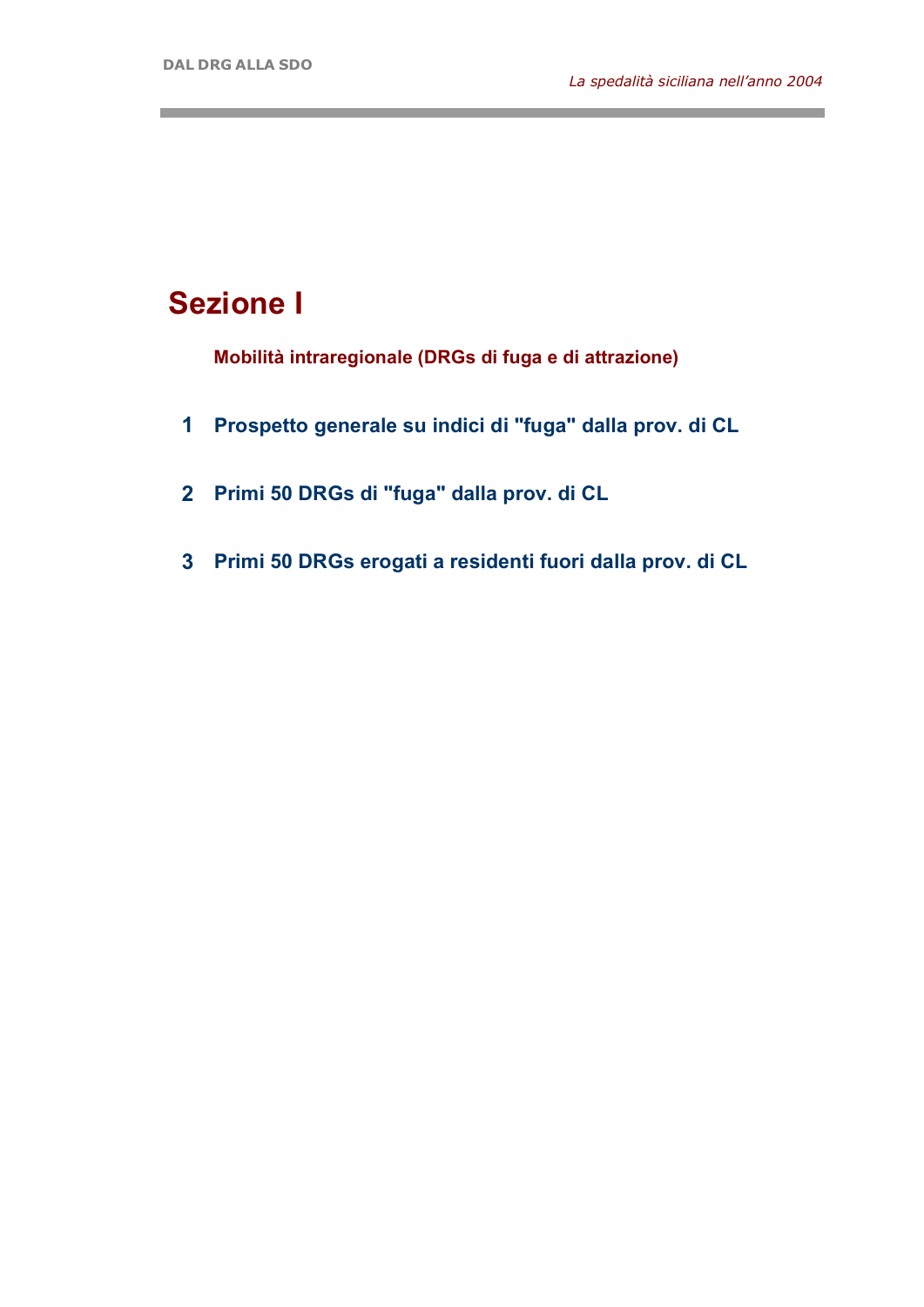the control of the control of the control of

and the control of the control of the

## **Sezione I**

**Mobilità intraregionale (DRGs di fuga e di attrazione)**

- **1 Prospetto generale su indici di "fuga" dalla prov. di CL**
- **2 Primi 50 DRGs di "fuga" dalla prov. di CL**
- **3 Primi 50 DRGs erogati a residenti fuori dalla prov. di CL**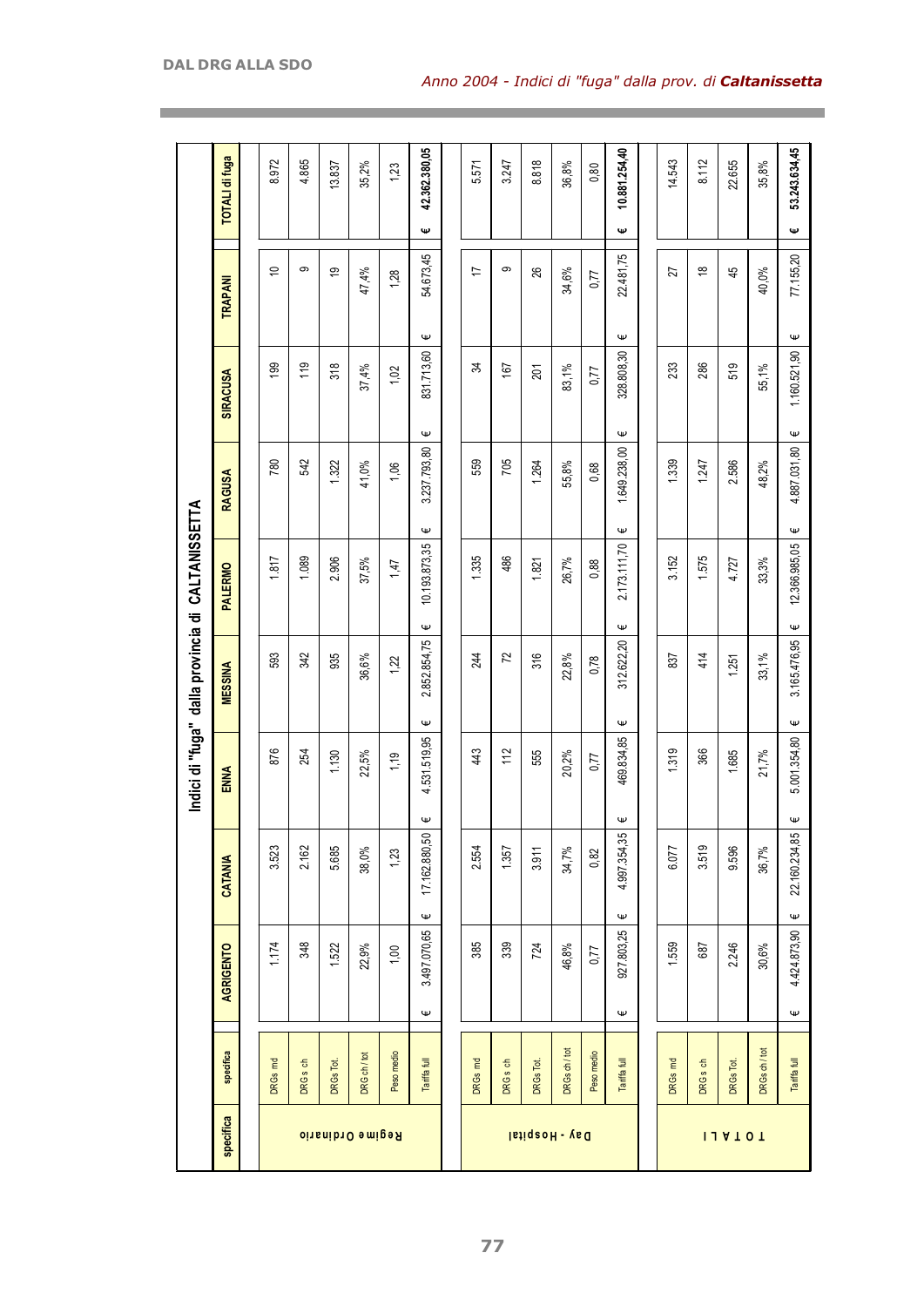|                         |                                           |                                  |                    |                   | Indici di "fuga" dalla provincia di CALTANISSETTA |                    |                   |                   |                                 |                       |
|-------------------------|-------------------------------------------|----------------------------------|--------------------|-------------------|---------------------------------------------------|--------------------|-------------------|-------------------|---------------------------------|-----------------------|
| specifica               | specifica                                 | AGRIGENTO                        | CATANIA            | ENNA              | <b>MESSINA</b>                                    | <b>PALERMO</b>     | RAGUSA            | <b>SIRACUSA</b>   | TRAPANI                         | <b>TOTALI di fuga</b> |
|                         |                                           |                                  |                    |                   |                                                   |                    |                   |                   |                                 |                       |
|                         | $\overline{\epsilon}$<br><b>DRGs</b>      | 1.174                            | 3.523              | 876               | 593                                               | 1.817              | 780               | 199               | $\Rightarrow$                   | 8.972                 |
|                         | DRG <sub>s</sub> ch                       | 348                              | 2.162              | 254               | 342                                               | 1.089              | 542               | 119               | တ                               | 4.865                 |
|                         | DRGs Tot.                                 | 1.522                            | 5.685              | 1,130             | 935                                               | 2.906              | 1.322             | 318               | စ္                              | 13.837                |
| <b>Regime Ordinario</b> | DRG ch / tot                              | 22,9%                            | 38,0%              | 22,5%             | 36,6%                                             | 37,5%              | 41,0%             | 37,4%             | 47,4%                           | 35,2%                 |
|                         | Peso medio                                | 1,00                             | 1,23               | 1,19              | 1,22                                              | 1,47               | 1,06              | 1,02              | 1,28                            | 1,23                  |
|                         | <b>Tariffafull</b>                        | 3.497.070,65<br>$\mathsf \omega$ | 17.162.880,50<br>Ψ | 4.531.519,95<br>Ψ | 2.852.854,75<br>Ψ                                 | 10.193.873,35<br>Ψ | 3.237.793,80<br>Ψ | 831.713,60<br>Ψ   | 54.673,45<br>Ψ                  | 42.362.380,05<br>Ψ    |
|                         |                                           |                                  |                    |                   |                                                   |                    |                   |                   |                                 |                       |
|                         | $\overline{\epsilon}$<br>DRG <sub>S</sub> | 385                              | 2.554              | 43                | 244                                               | 1.335              | 559               | z                 | 17                              | 5.571                 |
|                         | DRG <sub>s</sub> ch                       | 339                              | 1.357              | 112               | 72                                                | 486                | 705               | 167               | ၜ                               | 3.247                 |
| Day - Hospital          | DRGs Tot.                                 | 724                              | 3.911              | 555               | 316                                               | 1.821              | 1.264             | 201               | 26                              | 8.818                 |
|                         | DRGs ch / tot                             | 46,8%                            | 34,7%              | 20,2%             | 22,8%                                             | 26,7%              | 55,8%             | 83,1%             | 34,6%                           | 36,8%                 |
|                         | Peso medio                                | 0,77                             | 0,82               | U <sub>1</sub> 0  | 0,78                                              | 0,88               | 0,68              | 0,77              | 0,77                            | 0,80                  |
|                         | <b>Tariffafull</b>                        | 927.803,25<br>$\pmb{\psi}$       | 4.997.354,35<br>Ψ  | 469.834,85<br>Φ   | 312.622,20<br>Ψ                                   | 2.173.111,70<br>Ψ  | 1.649.238,00<br>Ψ | 328.808,30<br>Ψ   | 22.481,75<br>Ψ                  | 10.881.254,40<br>Ψ    |
|                         |                                           |                                  |                    |                   |                                                   |                    |                   |                   |                                 |                       |
|                         | DRGs md                                   | 1.559                            | 6.077              | 1.319             | 837                                               | 3.152              | 1.339             | 233               | 27                              | 14.543                |
|                         | DRG <sub>s</sub> ch                       | 687                              | 3.519              | 366               | 414                                               | 1.575              | 1.247             | 286               | $\overset{\infty}{\rightarrow}$ | 8.112                 |
| 114101                  | DRGs Tot.                                 | 2.246                            | 9.596              | 1.685             | 1.251                                             | 4.727              | 2.586             | 519               | 45                              | 22.655                |
|                         | DRGs ch / tot                             | $30.6\%$                         | 36,7%              | 21,7%             | 33,1%                                             | 33,3%              | 48,2%             | 55,1%             | 40,0%                           | 35,8%                 |
|                         | <b>Tariffafull</b>                        | 4.424.873,90<br>Ψ                | 22.160.234,85<br>Ψ | 5.001.354,80<br>Ψ | 3.165.476,95<br>Ψ                                 | 12.366.985,05<br>Ψ | 4.887.031,80<br>Ψ | 1.160.521,90<br>Ψ | 77.155,20<br>Ψ                  | 53.243.634,45<br>Ψ    |

the control of the control of the control of the control of the control of the control of the control of the control of the control of the control of the control of the control of the control of the control of the control

**77**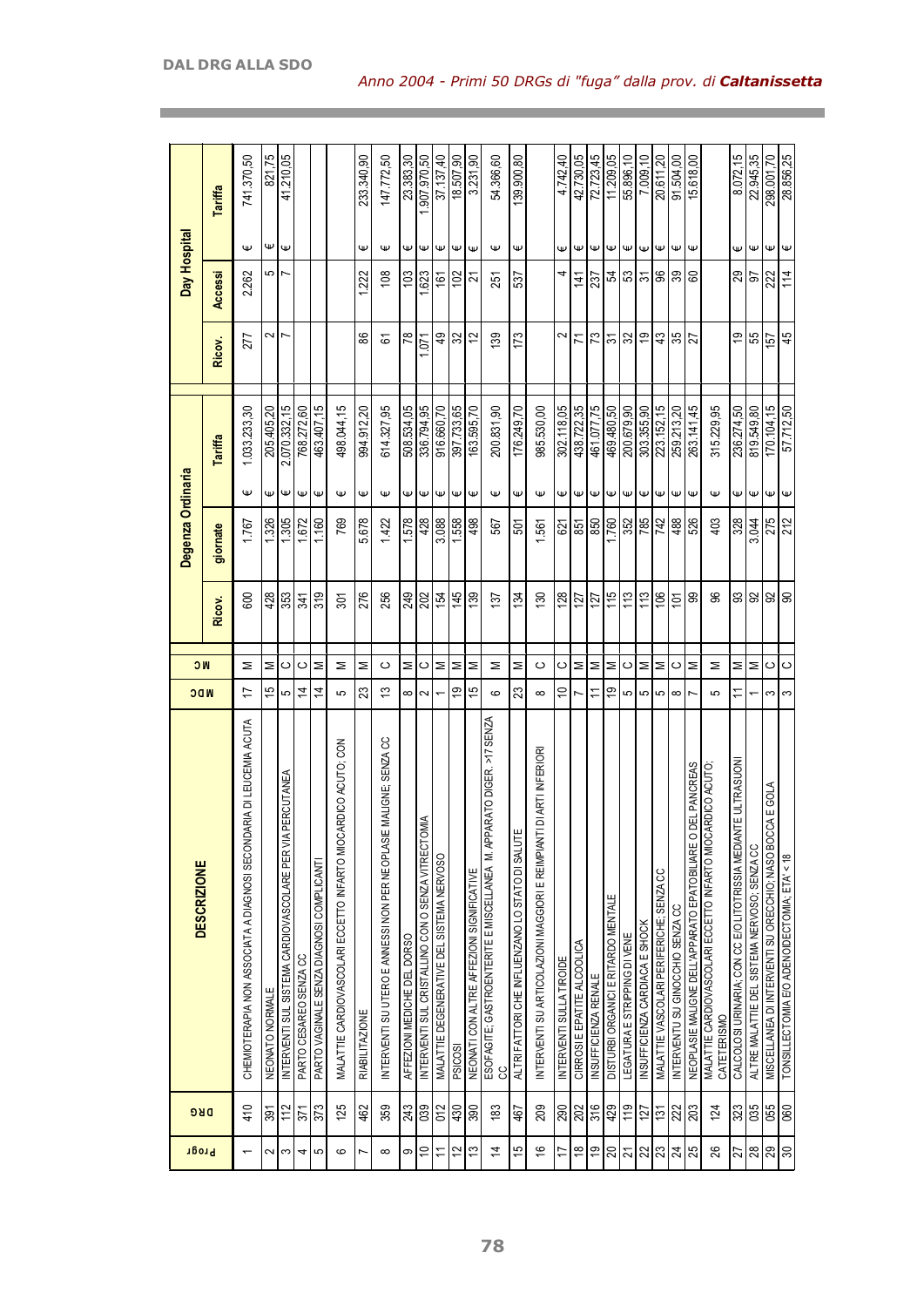|                    | Tariffa  | 741.370,50                                                              | 821,75          | 41.210,05                                                    |                        |                                           |                                                                    | 233.340,90            | 147.772,50                                                            | 23.383,30                   | 1.907.970,50                                                  | 37.137,40                                 | 18.507,90           | 3.231,90                                  | 54.366,60                                                                     | 139.900,80                                      |                                                                               | 4.742,40                 | 42.730,05                   | 72.723,45            | 11.209,05                           | 55.896,10                    | 7.009.10                       | 20.611,20                                | 91.504,00                        | 15.618,00                                                      |                                                                           | 8.072,15                                                                   | 22.945,35                                    | 298.001,70                                               | 28.856,25                                    |
|--------------------|----------|-------------------------------------------------------------------------|-----------------|--------------------------------------------------------------|------------------------|-------------------------------------------|--------------------------------------------------------------------|-----------------------|-----------------------------------------------------------------------|-----------------------------|---------------------------------------------------------------|-------------------------------------------|---------------------|-------------------------------------------|-------------------------------------------------------------------------------|-------------------------------------------------|-------------------------------------------------------------------------------|--------------------------|-----------------------------|----------------------|-------------------------------------|------------------------------|--------------------------------|------------------------------------------|----------------------------------|----------------------------------------------------------------|---------------------------------------------------------------------------|----------------------------------------------------------------------------|----------------------------------------------|----------------------------------------------------------|----------------------------------------------|
|                    |          | Ψ                                                                       | Ψ               | $\mathsf \Psi$                                               |                        |                                           |                                                                    | Ψ                     | Ψ                                                                     | Ψ                           | $\mathsf \omega$                                              | Ψ                                         | $\mathsf \omega$    | $\mathsf \omega$                          | Ψ                                                                             | Ψ                                               |                                                                               | Ψ                        | Ψ                           | Ψ                    | Ψ                                   | $\mathsf \omega$             | $\mathsf \omega$               | $\mathsf \omega$                         | $\pmb{\Psi}$                     | Ψ                                                              |                                                                           | Ψ                                                                          | Ψ                                            | $\mathsf \omega$                                         | Ψ                                            |
| Day Hospital       | Accessi  | 2.262                                                                   | 5               |                                                              |                        |                                           |                                                                    | 1.222                 | 108                                                                   | 103                         | 1.623                                                         | 161                                       | 02                  | ಸ                                         | 251                                                                           | 537                                             |                                                                               | 4                        | 141                         | 237                  |                                     | 외의일임이용                       |                                |                                          |                                  |                                                                |                                                                           |                                                                            | $\frac{8}{5}$                                | 222                                                      | 114                                          |
|                    | Ricov.   | 277                                                                     | 2               | $\overline{ }$                                               |                        |                                           |                                                                    | 86                    | 5                                                                     | $\frac{8}{2}$               | 1,071                                                         | 9                                         | $\frac{2}{3}$       | 57                                        | 139                                                                           | 173                                             |                                                                               | 2                        | Σ                           | 73                   | 5                                   | $\frac{1}{2}$                | 5                              | 43                                       | 35                               | 12                                                             |                                                                           | 61                                                                         | 55                                           | 157                                                      | 45                                           |
|                    | Tariffa  | 1.033.233,30                                                            | 205.405.20      | 2.070.332,15                                                 | 768.272,60             | 463.407,15                                | 198.044,15                                                         | 994.912,20            | 614.327,95                                                            | 508.534,05                  | 336.794,95                                                    | 916.660,70                                | 397.733,65          | 163.595,70                                | 200.831,90                                                                    | 176.249,70                                      | 985.530,00                                                                    | 302.118,05               | 438.722,35                  | 461.077,75           | 469.480,50                          | 200.679,90                   | 303.355.90                     | 223.152,15                               | 259.213,20                       | 263.141,45                                                     | 315.229,95                                                                | 236.274,50                                                                 | 819.549,80                                   | 170.104,15                                               | 57.712,50                                    |
|                    |          | Ψ                                                                       | Ψ               | $\mathsf \omega$                                             | Φ                      | $\mathsf \Psi$                            | Ψ                                                                  | $\mathsf \omega$      | $\mathsf \omega$                                                      |                             | $\psi$ $\psi$                                                 | $\mathsf \Psi$                            | $\mathsf{\Psi}$     | $\mathsf \omega$                          | $\mathsf \omega$                                                              | Ψ                                               | $\mathsf \omega$                                                              | €                        | $\mathsf \omega$            | $\mathsf \Psi$       | $\mathsf \omega$                    | $\omega$                     | $\mathsf \Psi$                 | $\mathsf \Psi$                           | $\mathsf{\Psi}$                  | $\mathsf{\Psi}$                                                | $\mathsf \omega$                                                          | €                                                                          | lΨ                                           | $\mathsf \omega$                                         | $\mathsf \Psi$                               |
| Degenza Ordinaria  | giornate | 1.767                                                                   | .326            | $\frac{1305}{ }$                                             | 1.672                  | 1.160                                     | 769                                                                | 5.678                 | 1.422                                                                 | 1.578                       | 428                                                           | 3.088                                     | $\frac{1.558}{ }$   | 498                                       | 567                                                                           | 501                                             | 1.561                                                                         | 2                        | 851                         | 850                  | 1.760                               | $\frac{352}{25}$             | 785                            | 742                                      | 488                              | 526                                                            | 403                                                                       | 328                                                                        | 3.044                                        | 275                                                      | 212                                          |
|                    | Ricov.   | 600                                                                     | 428             | 353                                                          | 341                    | 319                                       | 30T                                                                | 276                   | 256                                                                   | 249                         | 202                                                           | 154                                       | 145                 | 139                                       | 137                                                                           | 134                                             | $\frac{8}{3}$                                                                 | 128                      | 127                         | 127                  | 115                                 | 113                          | 113                            | 106                                      | $\overline{5}$                   | 8                                                              | ജ                                                                         |                                                                            | 8 8 8 8                                      |                                                          |                                              |
| <b>NC</b>          |          | Σ                                                                       | Σ               | ပ                                                            | ပ                      | Σ                                         | Σ                                                                  | Σ                     | ပ                                                                     | Σ                           | ပ                                                             | Σ                                         | ∣≅                  | Σ                                         | Σ                                                                             | Σ                                               | ပ                                                                             | ပ                        | Σ                           | Σ                    | Σ                                   | ပ                            | Σ                              | Σ                                        | ပ                                | Σ                                                              | Σ                                                                         | Σ                                                                          | ∣≅                                           | ပ                                                        | $\circ$                                      |
|                    |          |                                                                         |                 |                                                              |                        |                                           |                                                                    |                       |                                                                       |                             |                                                               |                                           |                     |                                           |                                                                               |                                                 |                                                                               |                          |                             |                      |                                     |                              |                                |                                          |                                  |                                                                |                                                                           |                                                                            |                                              |                                                          |                                              |
| <b>NDC</b>         |          | ≒                                                                       | 15              | 5                                                            | 4                      | 4                                         | 5                                                                  | ಔ                     | ఐ                                                                     | $\infty$                    | $\sim$                                                        |                                           | ల్ల                 | 15                                        | ဖ                                                                             | R                                               | $\infty$                                                                      | S                        | Ľ                           | ≂                    | စ္                                  | 5                            | 5                              | 5                                        | $\infty$                         |                                                                | 5                                                                         |                                                                            |                                              | S                                                        | S                                            |
| <b>DESCRIZIONE</b> |          | ARIA DI LEUCEMIA ACUTA<br>CHEMIOTERAPIA NON ASSOCIATA A DIAGNOSI SECOND | NEONATO NORMALE | PERCUTANEA<br>INTERVENTI SUL SISTEMA CARDIOVASCOLARE PER VIA | PARTO CESAREO SENZA CC | PARTO VAGINALE SENZA DIAGNOSI COMPLICANTI | ARDICO ACUTO; CON<br>MALATTIE CARDIOVASCOLARI ECCETTO INFARTO MIOC | <b>RIABILITAZIONE</b> | E MALIGNE; SENZA CC<br>INTERVENTI SU UTERO E ANNESSI NON PER NEOPLASI | AFFEZIONI MEDICHE DEL DORSO | <b>AIMC</b><br>INTERVENTI SUL CRISTALLINO CON O SENZA VITRECT | MALATTIE DEGENERATIVE DEL SISTEMA NERVOSO | PSICO <sub>SI</sub> | NEONATI CON ALTRE AFFEZIONI SIGNIFICATIVE | ARATO DIGER. >17 SENZA<br>ESOFAGITE; GASTROENTERITE E MISCELLANEA M. APF<br>႘ | ALTRI FATTORI CHE INFLUENZANO LO STATO DI SALUT | <b>TDI ARTI INFERIORI</b><br>INTERVENTI SU ARTICOLAZIONI MAGGIORI E REIMPIANT | INTERVENTI SULLA TIROIDE | CIRROSI E EPATITE ALCOOLICA | INSUFFICIENZA RENALE | DISTURBI ORGANICI E RITARDO MENTALE | LEGATURA E STRIPPING DI VENE | INSUFFICIENZA CARDIACA E SHOCK | MALATTIE VASCOLARI PERIFERICHE; SENZA CC | INTERVENTU SU GINOCCHIO SENZA CC | DEL PANCREAS<br>NEOPLASIE MALIGNE DELL'APPARATO EPATOBILIARE O | MALATTIE CARDIOVASCOLARI ECCETTO INFARTO MIOCARDICO ACUTO;<br>CATETERISMO | <b>NTE ULTRASUONI</b><br>CALCOLOSI URINARIA; CON CC E/O LITOTRISSIA MEDIAI | ALTRE MALATTIE DEL SISTEMA NERVOSO; SENZA CC | MISCELLANEA DI INTERVENTI SU ORECCHIO; NASO BOCCA E GOLA | TONSILLECTOMIA E/O ADENOIDECTOMIA; ETA' < 18 |
| <b>DRG</b>         |          | 410                                                                     | 391             | $\vert$ <sup>2</sup>                                         | 371                    | 373                                       | 125                                                                | 462                   | 359                                                                   | 243                         | 039                                                           | 012                                       | 430                 | 390                                       | 183                                                                           | 467                                             | 209                                                                           | 290                      | 202                         | 316                  | 429                                 | 119                          | 127                            | 131                                      | 222                              | $\overline{\approx}$                                           | 124                                                                       | 323                                                                        | 35                                           | 055                                                      | 060                                          |

and the control of the control of the control of the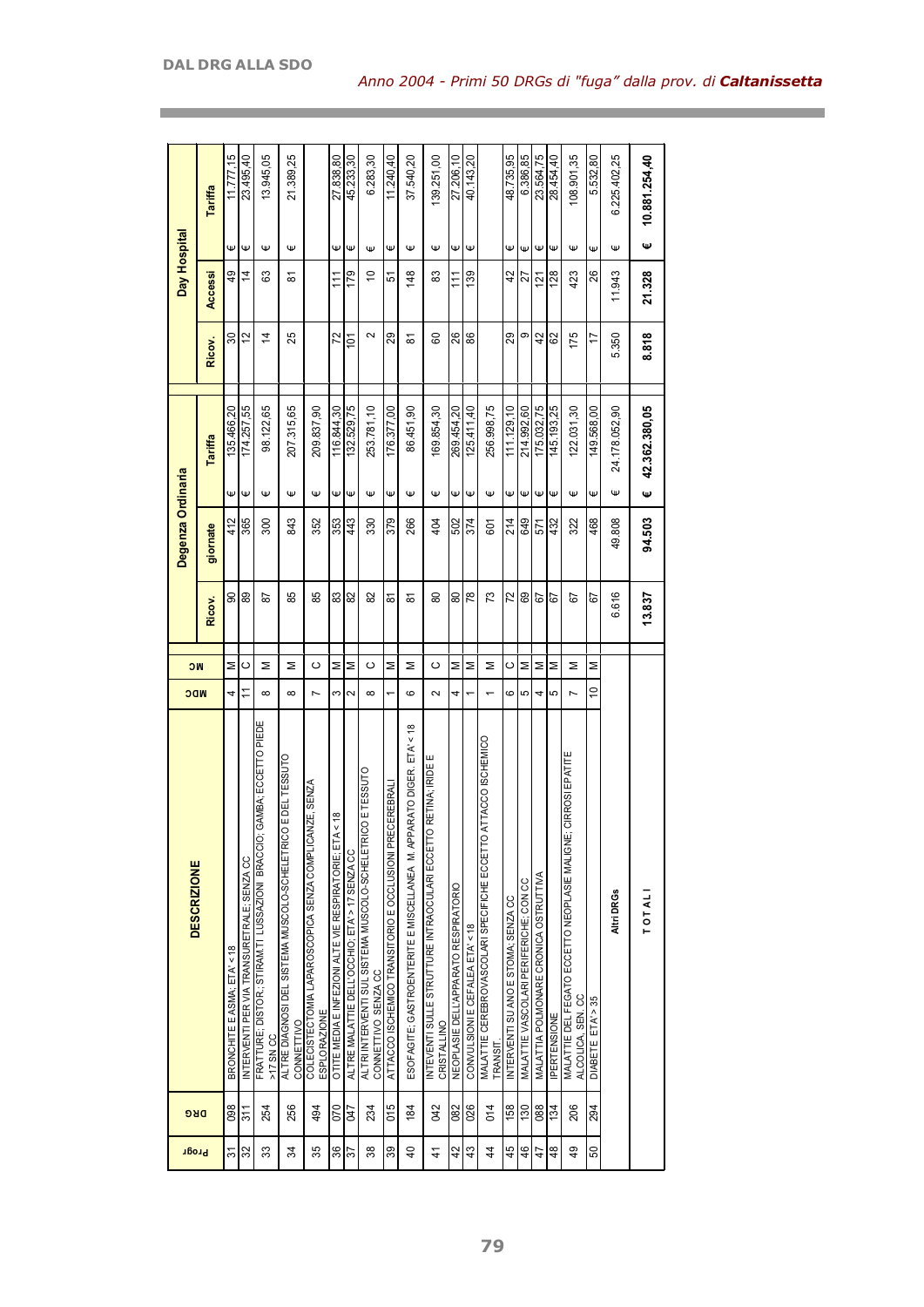| Ψ<br>Ψ<br>Ψ<br>Ψ<br>$\mathsf \Psi$<br>Ψ<br>Ψ<br>Ψ<br>Ψ<br>Ψ<br>Ψ<br>Ψ<br>Ψ<br>Ψ<br>Ψ<br>Ψ<br>Ψ<br>Ψ<br>Ψ<br>Ψ<br>Ψ<br>$\mathsf \Psi$<br>365<br>468<br>300<br>843<br>43<br>379<br>266<br>404<br>214<br>649<br>49.808<br>412<br>352<br>353<br>330<br>502<br>374<br>432<br>322<br>601<br>571<br>giornate<br>72<br>89<br>85<br>85<br>83<br>82<br>œ<br>73<br>89<br>6.616<br>ຘ<br>8<br>8<br>8<br>5<br>డ<br>ౚ<br>5<br>5<br>5<br>ౚ<br>Ricov.<br>Σ<br>Σ<br>Σ<br>Σ<br>Σ<br>Σ<br>ပ<br>Σ<br>Σ<br>ပ<br>Σ<br>ပ<br>Σ<br>$\circ$<br>Σ<br>Σ<br>Σ<br>Σ<br>Σ<br><b>NC</b><br>ပ<br>S<br><b>NDC</b><br>Ξ<br>$\infty$<br>2<br>ဖ<br>5<br>4<br>$\infty$<br>$\overline{ }$<br>ω<br>$\infty$<br>ဖ<br>$\sim$<br>5<br>4<br>4<br>$\overline{ }$<br>GAMBA; ECCETTO PIEDE<br><b>RATO DIGER. ETA' &lt; 18</b><br>MALATTIE CEREBROVASCOLARI SPECIFICHE ECCETTO ATTACCO ISCHEMICO<br>CIRROSI EPATITE<br>E DEL TESSUTO<br>RETINA; IRIDE E<br>ALTRI INTERVENTI SUL SISTEMA MUSCOLO-SCHELETRICO E TESSUTO<br>IZE, SENZA<br>CEREBRALI<br>$\frac{8}{5}$<br>ALTRE DIAGNOSI DEL SISTEMA MUSCOLO-SCHELETRICO<br>COLECISTECTOMIA LAPAROSCOPICA SENZA COMPLICAN<br>ESOFAGITE; GASTROENTERITE E MISCELLANEA M. APPA<br>INTEVENTI SULLE STRUTTURE INTRAOCULARI ECCETTO<br>ATT ACCO ISCHEMICO TRANSITORIO E OCCLUSIONI PRE-<br>OTITE MEDIA E INFEZIONI ALTE VIE RESPIRATORIE; ETA<br>FRATTURE; DISTOR.; STIRAM. TI LUSSAZIONI BRACCIO;<br>MALATTIE DEL FEGATO ECCETTO NEOPLASIE MALIGNE;<br>ALTRE MALATTIE DELL'OCCHIO; ETA' > 17 SENZA CC<br>INTERVENTI PER VIA TRANSURETRALE; SENZA CC<br>MALATTIA POLMONARE CRONICA OSTRUTTIVA<br>MALATTIE VASCOLARI PERIFERICHE; CON CC<br>NEOPLASIE DELL'APPARATO RESPIRATORIO<br>Altri DRGs<br><b>TOTALI</b><br>INTERVENTI SU ANO E STOMA; SENZA CC<br>CONVULSIONI E CEFALEA ETA' < 18<br>BRONCHITE E ASMA: ETA' < 18<br>CONNETTIVO SENZA CC<br>ALCOLICA, SEN. CC<br>DIABETE ETA' > 35<br>ESPLORAZIONE<br><b>PERTENSIONE</b><br>CONNETTIVO<br>CRISTALLINO<br>>17 SN CC<br>TRANSIT |            | <b>DESCRIZIONE</b> |  |        | Degenza Ordinaria |               |                  | Day Hospital    |   |               |
|--------------------------------------------------------------------------------------------------------------------------------------------------------------------------------------------------------------------------------------------------------------------------------------------------------------------------------------------------------------------------------------------------------------------------------------------------------------------------------------------------------------------------------------------------------------------------------------------------------------------------------------------------------------------------------------------------------------------------------------------------------------------------------------------------------------------------------------------------------------------------------------------------------------------------------------------------------------------------------------------------------------------------------------------------------------------------------------------------------------------------------------------------------------------------------------------------------------------------------------------------------------------------------------------------------------------------------------------------------------------------------------------------------------------------------------------------------------------------------------------------------------------------------------------------------------------------------------------------------------------------------------------------------------------------------------------------------------------------------------------------------------------------------------------------------------------------------------------------------------------------------------------------------------------------------------------------------------------------|------------|--------------------|--|--------|-------------------|---------------|------------------|-----------------|---|---------------|
|                                                                                                                                                                                                                                                                                                                                                                                                                                                                                                                                                                                                                                                                                                                                                                                                                                                                                                                                                                                                                                                                                                                                                                                                                                                                                                                                                                                                                                                                                                                                                                                                                                                                                                                                                                                                                                                                                                                                                                          | <b>DRG</b> |                    |  |        |                   | Tariffa       | Ricov.           | Accessi         |   | Tariffa       |
|                                                                                                                                                                                                                                                                                                                                                                                                                                                                                                                                                                                                                                                                                                                                                                                                                                                                                                                                                                                                                                                                                                                                                                                                                                                                                                                                                                                                                                                                                                                                                                                                                                                                                                                                                                                                                                                                                                                                                                          | 098        |                    |  |        |                   | 135.466,20    | 30               | ą,              | Ψ | 11.777.15     |
|                                                                                                                                                                                                                                                                                                                                                                                                                                                                                                                                                                                                                                                                                                                                                                                                                                                                                                                                                                                                                                                                                                                                                                                                                                                                                                                                                                                                                                                                                                                                                                                                                                                                                                                                                                                                                                                                                                                                                                          | 311        |                    |  |        |                   | 174.257,55    | 12               | 4               | Ψ | 23.495,40     |
|                                                                                                                                                                                                                                                                                                                                                                                                                                                                                                                                                                                                                                                                                                                                                                                                                                                                                                                                                                                                                                                                                                                                                                                                                                                                                                                                                                                                                                                                                                                                                                                                                                                                                                                                                                                                                                                                                                                                                                          | 254        |                    |  |        |                   | 98.122,65     | $\overline{4}$   | ස               | Ψ | 13.945,05     |
|                                                                                                                                                                                                                                                                                                                                                                                                                                                                                                                                                                                                                                                                                                                                                                                                                                                                                                                                                                                                                                                                                                                                                                                                                                                                                                                                                                                                                                                                                                                                                                                                                                                                                                                                                                                                                                                                                                                                                                          | 256        |                    |  |        |                   | 207.315,65    | 25               | ౚ               | Ψ | 21.389,25     |
|                                                                                                                                                                                                                                                                                                                                                                                                                                                                                                                                                                                                                                                                                                                                                                                                                                                                                                                                                                                                                                                                                                                                                                                                                                                                                                                                                                                                                                                                                                                                                                                                                                                                                                                                                                                                                                                                                                                                                                          | 494        |                    |  |        |                   | 209.837,90    |                  |                 |   |               |
|                                                                                                                                                                                                                                                                                                                                                                                                                                                                                                                                                                                                                                                                                                                                                                                                                                                                                                                                                                                                                                                                                                                                                                                                                                                                                                                                                                                                                                                                                                                                                                                                                                                                                                                                                                                                                                                                                                                                                                          | 070        |                    |  |        |                   | 116.844,30    | 72               | $\overline{11}$ | Ψ | 27.838,80     |
|                                                                                                                                                                                                                                                                                                                                                                                                                                                                                                                                                                                                                                                                                                                                                                                                                                                                                                                                                                                                                                                                                                                                                                                                                                                                                                                                                                                                                                                                                                                                                                                                                                                                                                                                                                                                                                                                                                                                                                          | <b>CFO</b> |                    |  |        |                   | 132.529,75    | $\overline{101}$ | 179             | Ψ | 45.233,30     |
|                                                                                                                                                                                                                                                                                                                                                                                                                                                                                                                                                                                                                                                                                                                                                                                                                                                                                                                                                                                                                                                                                                                                                                                                                                                                                                                                                                                                                                                                                                                                                                                                                                                                                                                                                                                                                                                                                                                                                                          | 234        |                    |  |        |                   | 253.781,10    | 2                | S               | Ψ | 6.283,30      |
|                                                                                                                                                                                                                                                                                                                                                                                                                                                                                                                                                                                                                                                                                                                                                                                                                                                                                                                                                                                                                                                                                                                                                                                                                                                                                                                                                                                                                                                                                                                                                                                                                                                                                                                                                                                                                                                                                                                                                                          | 015        |                    |  |        |                   | 176.377,00    | 29               | 5               | Ψ | 11.240,40     |
|                                                                                                                                                                                                                                                                                                                                                                                                                                                                                                                                                                                                                                                                                                                                                                                                                                                                                                                                                                                                                                                                                                                                                                                                                                                                                                                                                                                                                                                                                                                                                                                                                                                                                                                                                                                                                                                                                                                                                                          | 184        |                    |  |        |                   | 86.451,90     | ౚ                | 148             | Ψ | 37.540,20     |
|                                                                                                                                                                                                                                                                                                                                                                                                                                                                                                                                                                                                                                                                                                                                                                                                                                                                                                                                                                                                                                                                                                                                                                                                                                                                                                                                                                                                                                                                                                                                                                                                                                                                                                                                                                                                                                                                                                                                                                          | <b>GN2</b> |                    |  |        |                   | 169.854,30    | 60               | 83              | Ψ | 139.251,00    |
|                                                                                                                                                                                                                                                                                                                                                                                                                                                                                                                                                                                                                                                                                                                                                                                                                                                                                                                                                                                                                                                                                                                                                                                                                                                                                                                                                                                                                                                                                                                                                                                                                                                                                                                                                                                                                                                                                                                                                                          | 082        |                    |  |        |                   | 269.454,20    | 26               | 11              | Ψ | 27.206,10     |
|                                                                                                                                                                                                                                                                                                                                                                                                                                                                                                                                                                                                                                                                                                                                                                                                                                                                                                                                                                                                                                                                                                                                                                                                                                                                                                                                                                                                                                                                                                                                                                                                                                                                                                                                                                                                                                                                                                                                                                          | 026        |                    |  |        |                   | 125.411,40    | 88               | 139             | Ψ | 40.143.20     |
|                                                                                                                                                                                                                                                                                                                                                                                                                                                                                                                                                                                                                                                                                                                                                                                                                                                                                                                                                                                                                                                                                                                                                                                                                                                                                                                                                                                                                                                                                                                                                                                                                                                                                                                                                                                                                                                                                                                                                                          | 014        |                    |  |        |                   | 256.998,75    |                  |                 |   |               |
|                                                                                                                                                                                                                                                                                                                                                                                                                                                                                                                                                                                                                                                                                                                                                                                                                                                                                                                                                                                                                                                                                                                                                                                                                                                                                                                                                                                                                                                                                                                                                                                                                                                                                                                                                                                                                                                                                                                                                                          | 158        |                    |  |        |                   | 111.129,10    | 29               | 42              | Ψ | 48.735,95     |
|                                                                                                                                                                                                                                                                                                                                                                                                                                                                                                                                                                                                                                                                                                                                                                                                                                                                                                                                                                                                                                                                                                                                                                                                                                                                                                                                                                                                                                                                                                                                                                                                                                                                                                                                                                                                                                                                                                                                                                          | 130        |                    |  |        |                   | 214.992,60    | თ                | 72              | Ψ | 6.386,85      |
|                                                                                                                                                                                                                                                                                                                                                                                                                                                                                                                                                                                                                                                                                                                                                                                                                                                                                                                                                                                                                                                                                                                                                                                                                                                                                                                                                                                                                                                                                                                                                                                                                                                                                                                                                                                                                                                                                                                                                                          | 088        |                    |  |        |                   | 175.032.75    | 42               | 121             | Ψ | 23.564,75     |
|                                                                                                                                                                                                                                                                                                                                                                                                                                                                                                                                                                                                                                                                                                                                                                                                                                                                                                                                                                                                                                                                                                                                                                                                                                                                                                                                                                                                                                                                                                                                                                                                                                                                                                                                                                                                                                                                                                                                                                          | 134        |                    |  |        |                   | 145.193,25    | 82               | 128             | Ψ | 28.454,40     |
|                                                                                                                                                                                                                                                                                                                                                                                                                                                                                                                                                                                                                                                                                                                                                                                                                                                                                                                                                                                                                                                                                                                                                                                                                                                                                                                                                                                                                                                                                                                                                                                                                                                                                                                                                                                                                                                                                                                                                                          | 206        |                    |  |        |                   | 122.031,30    | 175              | 423             | Ψ | 08.901,35     |
|                                                                                                                                                                                                                                                                                                                                                                                                                                                                                                                                                                                                                                                                                                                                                                                                                                                                                                                                                                                                                                                                                                                                                                                                                                                                                                                                                                                                                                                                                                                                                                                                                                                                                                                                                                                                                                                                                                                                                                          | 294        |                    |  |        |                   | 149.568,00    | 17               | 26              | Ψ | 5.532,80      |
|                                                                                                                                                                                                                                                                                                                                                                                                                                                                                                                                                                                                                                                                                                                                                                                                                                                                                                                                                                                                                                                                                                                                                                                                                                                                                                                                                                                                                                                                                                                                                                                                                                                                                                                                                                                                                                                                                                                                                                          |            |                    |  |        |                   | 24.178.052,90 | 5.350            | 11.943          | Ψ | 6.225.402,25  |
|                                                                                                                                                                                                                                                                                                                                                                                                                                                                                                                                                                                                                                                                                                                                                                                                                                                                                                                                                                                                                                                                                                                                                                                                                                                                                                                                                                                                                                                                                                                                                                                                                                                                                                                                                                                                                                                                                                                                                                          |            |                    |  | 13.837 | 94.503            | 42.362.380,05 | 8.818            | 21.328          | Ψ | 10.881.254,40 |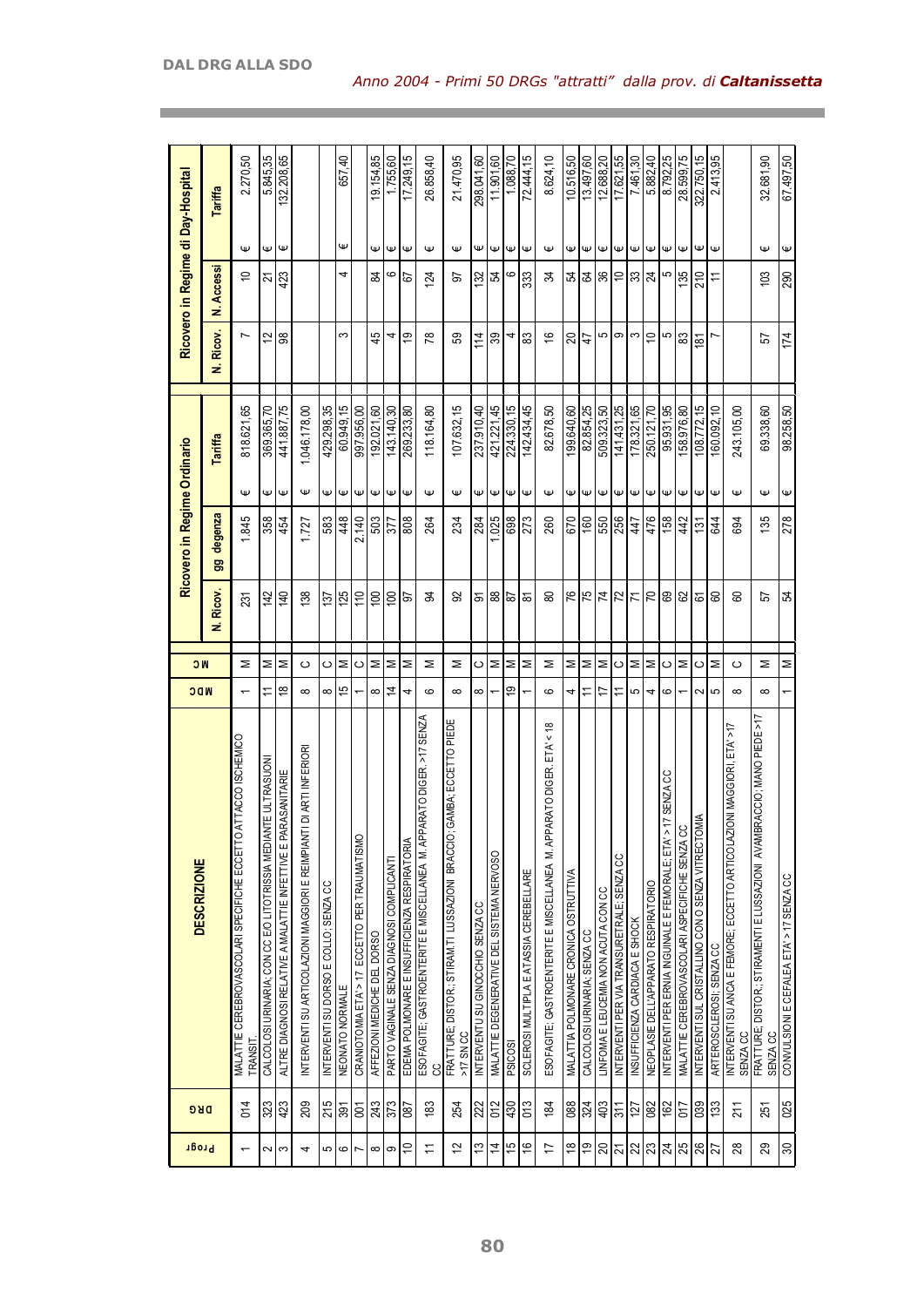| Progr                    | <b>DRG</b>     | <b>DESCRIZIONE</b>                                                                    | MDC            | <b>NC</b> |                  |                  | Ricovero in Regime Ordinario |              |                | Ricovero in Regime di Day-Hospital |                  |            |
|--------------------------|----------------|---------------------------------------------------------------------------------------|----------------|-----------|------------------|------------------|------------------------------|--------------|----------------|------------------------------------|------------------|------------|
|                          |                |                                                                                       |                |           | g<br>Ricov.<br>ź | degenza          | Tariffa                      |              | N. Ricov.      | N. Accessi                         |                  | Tariffa    |
| $\overline{\phantom{0}}$ | 014            | ATTACCO ISCHEMICO<br>MALATTIE CEREBROVASCOLARI SPECIFICHE ECCETTO<br>TRANSIT          |                | Σ         | 231              | 845              | Ψ                            | 818.621,65   | Ľ              | $\tilde{=}$                        | Ψ                | 2.270,50   |
| 2                        | 323            | CALCOLOSI URINARIA; CON CC E/O LITOTRISSIA MEDIANTE ULTRASUONI                        |                | Σ         | 142              | 358              | Ψ                            | 369.365,70   | 12             | 24                                 | Ψ                | 5.845,35   |
| S                        | 423            | ALTRE DIAGNOSI RELATIVE A MALATTIE INFETTIVE E PARASANITARIE                          | $\frac{8}{1}$  | Σ         | 140              | 454              | Ψ                            | 441.887,75   | 88             | 423                                | Ψ                | 132.208,65 |
| 4                        | 209            | INTERVENTI SU ARTICOLAZIONI MAGGIORI E REIMPIANTI DI ARTI INFERIORI                   | $\infty$       | ပ         | 138              | 1.727            | Ψ                            | 1.046.178,00 |                |                                    |                  |            |
| 5                        | 215            | INTERVENTI SU DORSO E COLLO; SENZA CC                                                 | $\infty$       | ပ         | 137              | 583              | ₩                            | 429.298,35   |                |                                    |                  |            |
| $\rm \Omega$             | 391            | NEONATO NORMALE                                                                       | 15             | Σ         | 125              | 448              | Ψ                            | 60.949,15    | S              | 4                                  | Ψ                | 657,40     |
| $\overline{ }$           | $\overline{5}$ | CRANIOTOMIA ETA' > 17 ECCETTO PER TRAUMATISMO                                         |                | ပ         | 110              | 2.140            | Ψ                            | 997.956,00   |                |                                    |                  |            |
| ∞                        | 243            | AFFEZIONI MEDICHE DEL DORSO                                                           | $\infty$       | Σ         | $\overline{100}$ | 503              | Ψ                            | 192.021,60   | 45             | 84                                 | Ψ                | 19.154,85  |
| ၜ                        | 373            | PARTO VAGINALE SENZA DIAGNOSI COMPLICANTI                                             | $\overline{4}$ | Σ         | $\overline{100}$ | 377              | Ψ                            | 143.140,30   | 4              | ဖ                                  | Ψ                | 1.755,60   |
| $\tilde{=}$              | 087            | EDEMA POLMONARE E INSUFFICIENZA RESPIRATORIA                                          | 4              | Σ         | 55               | 808              | $\mathsf \omega$             | 269.233,80   | <b>i</b>       | 5                                  | Ψ                | 17.249,15  |
| $\overline{1}$           | $\frac{83}{2}$ | PARATO DIGER. >17 SENZA<br>ESOFAGITE; GASTROENTERITE E MISCELLANEA M. AP<br>ပ္ပ       | ဖ              | Σ         | क्ष              | 264              | Ψ                            | 118.164,80   | 78             | 124                                | Ψ                | 26.858,40  |
| $\frac{2}{3}$            | 254            | GAMBA; ECCETTO PIEDE<br>FRATTURE; DISTOR.; STIRAM.TI LUSSAZIONI BRACCIO;<br>>17 SN CC | $\infty$       | Σ         | 95               | 234              | Ψ                            | 107.632,15   | 59             | 5                                  | $\mathsf \omega$ | 21.470,95  |
| 13                       | 222            | INTERVENTU SU GINOCCHIO SENZA CC                                                      | $\infty$       | O         | ৯                | 284              | Ψ                            | 237.910,40   | 114            | 132                                | Ψ                | 298.041,60 |
| $\frac{4}{3}$            | 012            | MALATTIE DEGENERATIVE DEL SISTEMA NERVOSO                                             |                | Σ         | 88               | .025             | Ψ                            | 421.221,45   | 39             | 54                                 | $\pmb{\Psi}$     | 11.901,60  |
| 15                       | 430            | <b>PSICOSI</b>                                                                        | é,             | Σ         | 59               | 698              | Ψ                            | 224.330,15   | 4              | 6                                  | Ψ                | 1.088,70   |
| $\frac{6}{10}$           | 013            | SCLEROSI MULTIPLA E AT ASSIA CEREBELLARE                                              |                | Σ         | ৯                | $\overline{273}$ | $\mathsf \Psi$               | 142.434,45   | 83             | 333                                | Ψ                | 72.444,15  |
| $\overline{1}$           | $\frac{1}{2}$  | ESOFAGITE; GASTROENTERITE E MISCELLANEA M. APPARATO DIGER. ETAY < 18                  | ဖ              | Σ         | 8                | 260              | $\mathsf \Psi$               | 82.678,50    | $\frac{6}{5}$  | ಸ                                  | $\mathsf \Psi$   | 8.624,10   |
| $\frac{8}{1}$            | 088            | MALATTIA POLMONARE CRONICA OSTRUTTIVA                                                 | 4              | Σ         | 76               | 670              | Ψ                            | 199.640,60   | 20             | 54                                 | Ψ                | 10.516,50  |
| $\frac{9}{2}$            | 324            | CALCOLOSI URINARIA; SENZA CC                                                          | Ξ              | Σ         | 75               | 160              | $\mathsf \Psi$               | 82.854,25    | $\ddot{4}$     | 12                                 | $\mathsf \Psi$   | 13.497,60  |
| $\overline{20}$          | 403            | LINFOMA E LEUCEMIA NON ACUTA CON CC                                                   | 17             | Σ         | 74               | 550              | Ψ                            | 509.323,50   |                | 36                                 | Ψ                | 12.688,20  |
| $\overline{2}$           | $\frac{5}{11}$ | INTERVENTI PER VIA TRANSURETRALE; SENZA CC                                            | Ξ              | C         | 72               | 256              | Ψ                            | 141.431,25   | ഥ ത ന          | $\cong$                            | Ψ                | 17.621,55  |
| 22                       | 127            | INSUFFICIENZA CARDIACA E SHOCK                                                        | 5              | Σ         | 71               | 447              | Ψ                            | 178.321,65   |                | ន្ល្ <mark>យ</mark>                | $\mathsf \Psi$   | 7.461,30   |
| 23                       | 082            | NEOPLASIE DELL'APPARATO RESPIRATORIO                                                  | 4              | Σ         | 70               | 476              | $\mathsf \Psi$               | 250.121,70   | $\overline{C}$ |                                    | $\mathsf \Psi$   | 5.882,40   |
| 24                       | 162            | >17 SENZA CC<br>INTERVENTI PER ERNIA INGUINALE E FEMORALE; ETA'                       | ဖ              | $\circ$   | 8                | 158              | Ψ                            | 95.931,95    | 5              | 5                                  | Ψ                | 8.792,25   |
| 25                       | 017            | MALATTIE CEREBROVASCOLARI ASPECIFICHE SENZA CC                                        |                | Σ         | 82               | 42               | Ψ                            | 158.976,80   | 83             | 135                                | $\pmb{\psi}$     | 28.599,75  |
| 26                       | 039            | <b>OMIA</b><br>INTERVENTI SUL CRISTALLINO CON O SENZA VITRECT                         | $\sim$         | ပ         | 61               | 131              | Ψ                            | 108.772,15   | $\frac{1}{8}$  | 210                                | Ψ                | 322.750,15 |
| 27                       | 133            | ARTEROSCLEROSI; SENZA CC                                                              | 5              | Σ         | 8                | 644              | $\mathsf \Psi$               | 160.092,10   |                | Ξ                                  | $\mathsf \omega$ | 2.413,95   |
| 28                       | 211            | INTERVENTI SU ANCA E FEMORE; ECCETTO ARTICOLAZIONI MAGGIORI, ETA' >17<br>SENZA CC     | $\infty$       | ပ         | ਫ਼               | 694              | Ψ                            | 243.105,00   |                |                                    |                  |            |
| 29                       | 251            | FRATTURE; DISTOR,; STIRAMENTI E LUSSAZIONI AVAMBRACCIO; MANO PIEDE >17<br>SENZA CC    | $\infty$       | Σ         | 55               | 135              | Ψ                            | 69.338,60    | 57             | 103                                | Ψ                | 32.681,90  |
| 30                       | 025            | CONVULSIONI E CEFALEA ETA' > 17 SENZA CC                                              |                | Σ         | R                | 278              | Ψ                            | 98.258,50    | 174            | 290                                | Ψ                | 67.497,50  |
|                          |                |                                                                                       |                |           |                  |                  |                              |              |                |                                    |                  |            |